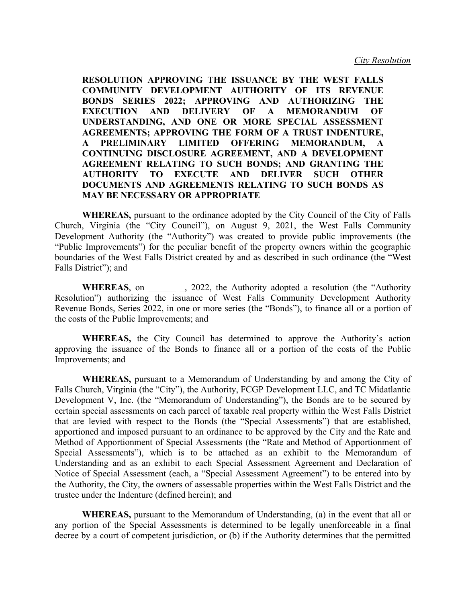**RESOLUTION APPROVING THE ISSUANCE BY THE WEST FALLS COMMUNITY DEVELOPMENT AUTHORITY OF ITS REVENUE BONDS SERIES 2022; APPROVING AND AUTHORIZING THE EXECUTION AND DELIVERY OF A MEMORANDUM OF UNDERSTANDING, AND ONE OR MORE SPECIAL ASSESSMENT AGREEMENTS; APPROVING THE FORM OF A TRUST INDENTURE, A PRELIMINARY LIMITED OFFERING MEMORANDUM, A CONTINUING DISCLOSURE AGREEMENT, AND A DEVELOPMENT AGREEMENT RELATING TO SUCH BONDS; AND GRANTING THE AUTHORITY TO EXECUTE AND DELIVER SUCH OTHER DOCUMENTS AND AGREEMENTS RELATING TO SUCH BONDS AS MAY BE NECESSARY OR APPROPRIATE**

**WHEREAS,** pursuant to the ordinance adopted by the City Council of the City of Falls Church, Virginia (the "City Council"), on August 9, 2021, the West Falls Community Development Authority (the "Authority") was created to provide public improvements (the "Public Improvements") for the peculiar benefit of the property owners within the geographic boundaries of the West Falls District created by and as described in such ordinance (the "West Falls District"); and

WHEREAS, on \_\_\_\_\_\_\_\_, 2022, the Authority adopted a resolution (the "Authority Resolution") authorizing the issuance of West Falls Community Development Authority Revenue Bonds, Series 2022, in one or more series (the "Bonds"), to finance all or a portion of the costs of the Public Improvements; and

**WHEREAS,** the City Council has determined to approve the Authority's action approving the issuance of the Bonds to finance all or a portion of the costs of the Public Improvements; and

**WHEREAS,** pursuant to a Memorandum of Understanding by and among the City of Falls Church, Virginia (the "City"), the Authority, FCGP Development LLC, and TC Midatlantic Development V, Inc. (the "Memorandum of Understanding"), the Bonds are to be secured by certain special assessments on each parcel of taxable real property within the West Falls District that are levied with respect to the Bonds (the "Special Assessments") that are established, apportioned and imposed pursuant to an ordinance to be approved by the City and the Rate and Method of Apportionment of Special Assessments (the "Rate and Method of Apportionment of Special Assessments"), which is to be attached as an exhibit to the Memorandum of Understanding and as an exhibit to each Special Assessment Agreement and Declaration of Notice of Special Assessment (each, a "Special Assessment Agreement") to be entered into by the Authority, the City, the owners of assessable properties within the West Falls District and the trustee under the Indenture (defined herein); and

**WHEREAS,** pursuant to the Memorandum of Understanding, (a) in the event that all or any portion of the Special Assessments is determined to be legally unenforceable in a final decree by a court of competent jurisdiction, or (b) if the Authority determines that the permitted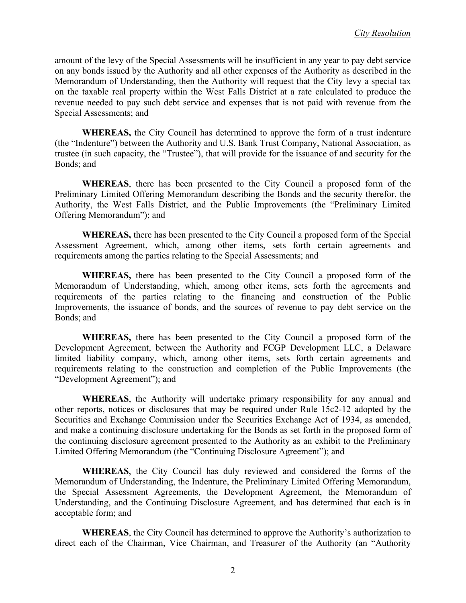amount of the levy of the Special Assessments will be insufficient in any year to pay debt service on any bonds issued by the Authority and all other expenses of the Authority as described in the Memorandum of Understanding, then the Authority will request that the City levy a special tax on the taxable real property within the West Falls District at a rate calculated to produce the revenue needed to pay such debt service and expenses that is not paid with revenue from the Special Assessments; and

**WHEREAS,** the City Council has determined to approve the form of a trust indenture (the "Indenture") between the Authority and U.S. Bank Trust Company, National Association, as trustee (in such capacity, the "Trustee"), that will provide for the issuance of and security for the Bonds; and

**WHEREAS**, there has been presented to the City Council a proposed form of the Preliminary Limited Offering Memorandum describing the Bonds and the security therefor, the Authority, the West Falls District, and the Public Improvements (the "Preliminary Limited Offering Memorandum"); and

**WHEREAS,** there has been presented to the City Council a proposed form of the Special Assessment Agreement, which, among other items, sets forth certain agreements and requirements among the parties relating to the Special Assessments; and

**WHEREAS,** there has been presented to the City Council a proposed form of the Memorandum of Understanding, which, among other items, sets forth the agreements and requirements of the parties relating to the financing and construction of the Public Improvements, the issuance of bonds, and the sources of revenue to pay debt service on the Bonds; and

**WHEREAS,** there has been presented to the City Council a proposed form of the Development Agreement, between the Authority and FCGP Development LLC, a Delaware limited liability company, which, among other items, sets forth certain agreements and requirements relating to the construction and completion of the Public Improvements (the "Development Agreement"); and

**WHEREAS**, the Authority will undertake primary responsibility for any annual and other reports, notices or disclosures that may be required under Rule 15c2-12 adopted by the Securities and Exchange Commission under the Securities Exchange Act of 1934, as amended, and make a continuing disclosure undertaking for the Bonds as set forth in the proposed form of the continuing disclosure agreement presented to the Authority as an exhibit to the Preliminary Limited Offering Memorandum (the "Continuing Disclosure Agreement"); and

**WHEREAS**, the City Council has duly reviewed and considered the forms of the Memorandum of Understanding, the Indenture, the Preliminary Limited Offering Memorandum, the Special Assessment Agreements, the Development Agreement, the Memorandum of Understanding, and the Continuing Disclosure Agreement, and has determined that each is in acceptable form; and

**WHEREAS**, the City Council has determined to approve the Authority's authorization to direct each of the Chairman, Vice Chairman, and Treasurer of the Authority (an "Authority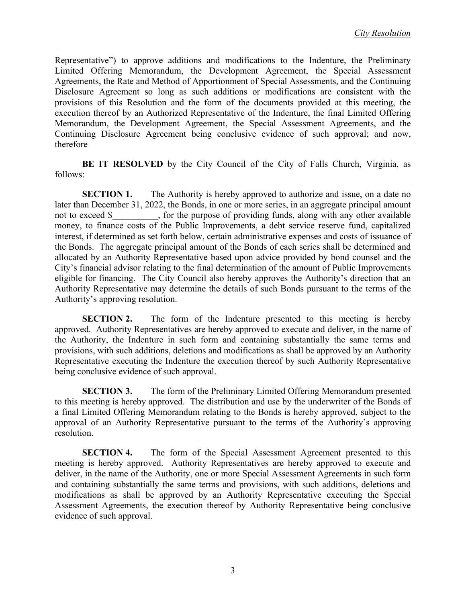Representative") to approve additions and modifications to the Indenture, the Preliminary Limited Offering Memorandum, the Development Agreement, the Special Assessment Agreements, the Rate and Method of Apportionment of Special Assessments, and the Continuing Disclosure Agreement so long as such additions or modifications are consistent with the provisions of this Resolution and the form of the documents provided at this meeting, the execution thereof by an Authorized Representative of the Indenture, the final Limited Offering Memorandum, the Development Agreement, the Special Assessment Agreements, and the Continuing Disclosure Agreement being conclusive evidence of such approval; and now, therefore

**BE IT RESOLVED** by the City Council of the City of Falls Church, Virginia, as follows:

**SECTION 1.** The Authority is hereby approved to authorize and issue, on a date no later than December 31, 2022, the Bonds, in one or more series, in an aggregate principal amount not to exceed \$ for the purpose of providing funds, along with any other available money, to finance costs of the Public Improvements, a debt service reserve fund, capitalized interest, if determined as set forth below, certain administrative expenses and costs of issuance of the Bonds. The aggregate principal amount of the Bonds of each series shall be determined and allocated by an Authority Representative based upon advice provided by bond counsel and the City's financial advisor relating to the final determination of the amount of Public Improvements eligible for financing. The City Council also hereby approves the Authority's direction that an Authority Representative may determine the details of such Bonds pursuant to the terms of the Authority's approving resolution.

**SECTION 2.** The form of the Indenture presented to this meeting is hereby approved. Authority Representatives are hereby approved to execute and deliver, in the name of the Authority, the Indenture in such form and containing substantially the same terms and provisions, with such additions, deletions and modifications as shall be approved by an Authority Representative executing the Indenture the execution thereof by such Authority Representative being conclusive evidence of such approval.

**SECTION 3.** The form of the Preliminary Limited Offering Memorandum presented to this meeting is hereby approved. The distribution and use by the underwriter of the Bonds of a final Limited Offering Memorandum relating to the Bonds is hereby approved, subject to the approval of an Authority Representative pursuant to the terms of the Authority's approving resolution.

**SECTION 4.** The form of the Special Assessment Agreement presented to this meeting is hereby approved. Authority Representatives are hereby approved to execute and deliver, in the name of the Authority, one or more Special Assessment Agreements in such form and containing substantially the same terms and provisions, with such additions, deletions and modifications as shall be approved by an Authority Representative executing the Special Assessment Agreements, the execution thereof by Authority Representative being conclusive evidence of such approval.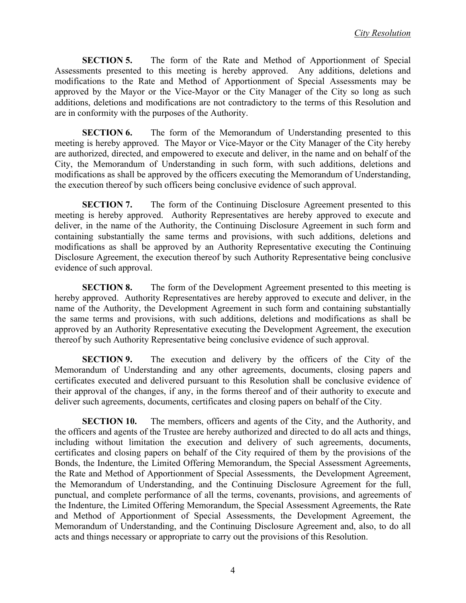**SECTION 5.** The form of the Rate and Method of Apportionment of Special Assessments presented to this meeting is hereby approved. Any additions, deletions and modifications to the Rate and Method of Apportionment of Special Assessments may be approved by the Mayor or the Vice-Mayor or the City Manager of the City so long as such additions, deletions and modifications are not contradictory to the terms of this Resolution and are in conformity with the purposes of the Authority.

**SECTION 6.** The form of the Memorandum of Understanding presented to this meeting is hereby approved. The Mayor or Vice-Mayor or the City Manager of the City hereby are authorized, directed, and empowered to execute and deliver, in the name and on behalf of the City, the Memorandum of Understanding in such form, with such additions, deletions and modifications as shall be approved by the officers executing the Memorandum of Understanding, the execution thereof by such officers being conclusive evidence of such approval.

**SECTION 7.** The form of the Continuing Disclosure Agreement presented to this meeting is hereby approved. Authority Representatives are hereby approved to execute and deliver, in the name of the Authority, the Continuing Disclosure Agreement in such form and containing substantially the same terms and provisions, with such additions, deletions and modifications as shall be approved by an Authority Representative executing the Continuing Disclosure Agreement, the execution thereof by such Authority Representative being conclusive evidence of such approval.

**SECTION 8.** The form of the Development Agreement presented to this meeting is hereby approved. Authority Representatives are hereby approved to execute and deliver, in the name of the Authority, the Development Agreement in such form and containing substantially the same terms and provisions, with such additions, deletions and modifications as shall be approved by an Authority Representative executing the Development Agreement, the execution thereof by such Authority Representative being conclusive evidence of such approval.

**SECTION 9.** The execution and delivery by the officers of the City of the Memorandum of Understanding and any other agreements, documents, closing papers and certificates executed and delivered pursuant to this Resolution shall be conclusive evidence of their approval of the changes, if any, in the forms thereof and of their authority to execute and deliver such agreements, documents, certificates and closing papers on behalf of the City.

**SECTION 10.** The members, officers and agents of the City, and the Authority, and the officers and agents of the Trustee are hereby authorized and directed to do all acts and things, including without limitation the execution and delivery of such agreements, documents, certificates and closing papers on behalf of the City required of them by the provisions of the Bonds, the Indenture, the Limited Offering Memorandum, the Special Assessment Agreements, the Rate and Method of Apportionment of Special Assessments, the Development Agreement, the Memorandum of Understanding, and the Continuing Disclosure Agreement for the full, punctual, and complete performance of all the terms, covenants, provisions, and agreements of the Indenture, the Limited Offering Memorandum, the Special Assessment Agreements, the Rate and Method of Apportionment of Special Assessments, the Development Agreement, the Memorandum of Understanding, and the Continuing Disclosure Agreement and, also, to do all acts and things necessary or appropriate to carry out the provisions of this Resolution.